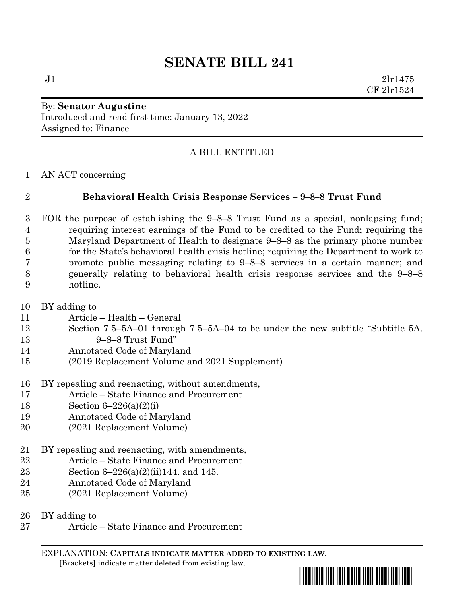# **SENATE BILL 241**

 $J1$   $2lr1475$ CF 2lr1524

## By: **Senator Augustine** Introduced and read first time: January 13, 2022 Assigned to: Finance

## A BILL ENTITLED

AN ACT concerning

## **Behavioral Health Crisis Response Services – 9–8–8 Trust Fund**

 FOR the purpose of establishing the 9–8–8 Trust Fund as a special, nonlapsing fund; requiring interest earnings of the Fund to be credited to the Fund; requiring the Maryland Department of Health to designate 9–8–8 as the primary phone number for the State's behavioral health crisis hotline; requiring the Department to work to promote public messaging relating to 9–8–8 services in a certain manner; and generally relating to behavioral health crisis response services and the 9–8–8 hotline.

BY adding to

- Article Health General
- Section 7.5–5A–01 through 7.5–5A–04 to be under the new subtitle "Subtitle 5A. 9–8–8 Trust Fund"
- Annotated Code of Maryland
- (2019 Replacement Volume and 2021 Supplement)
- BY repealing and reenacting, without amendments,
- Article State Finance and Procurement
- Section 6–226(a)(2)(i)
- Annotated Code of Maryland
- (2021 Replacement Volume)
- BY repealing and reenacting, with amendments,
- Article State Finance and Procurement
- Section 6–226(a)(2)(ii)144. and 145.
- Annotated Code of Maryland
- (2021 Replacement Volume)
- BY adding to
- Article State Finance and Procurement

EXPLANATION: **CAPITALS INDICATE MATTER ADDED TO EXISTING LAW**.  **[**Brackets**]** indicate matter deleted from existing law.

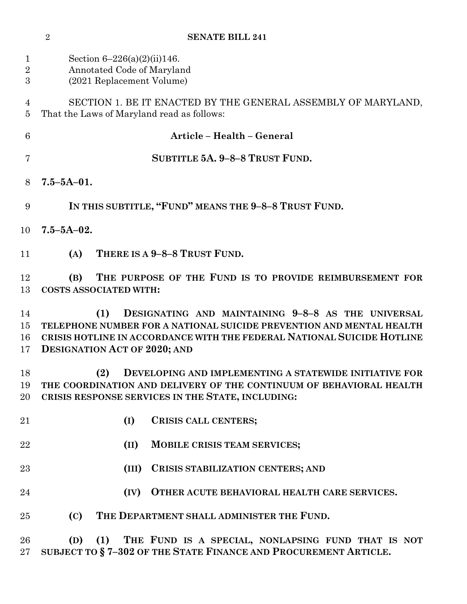| $\mathbf{1}$<br>$\overline{2}$<br>3 | Section $6-226(a)(2)(ii)146$ .<br>Annotated Code of Maryland<br>(2021 Replacement Volume)                                                                                                                                                          |
|-------------------------------------|----------------------------------------------------------------------------------------------------------------------------------------------------------------------------------------------------------------------------------------------------|
| 4<br>5                              | SECTION 1. BE IT ENACTED BY THE GENERAL ASSEMBLY OF MARYLAND,<br>That the Laws of Maryland read as follows:                                                                                                                                        |
| $6\phantom{.}6$                     | Article - Health - General                                                                                                                                                                                                                         |
| 7                                   | SUBTITLE 5A. 9-8-8 TRUST FUND.                                                                                                                                                                                                                     |
| 8                                   | $7.5 - 5A - 01.$                                                                                                                                                                                                                                   |
| 9                                   | IN THIS SUBTITLE, "FUND" MEANS THE 9-8-8 TRUST FUND.                                                                                                                                                                                               |
| 10                                  | $7.5 - 5A - 02.$                                                                                                                                                                                                                                   |
| 11                                  | THERE IS A 9-8-8 TRUST FUND.<br>(A)                                                                                                                                                                                                                |
| 12<br>13                            | THE PURPOSE OF THE FUND IS TO PROVIDE REIMBURSEMENT FOR<br>(B)<br><b>COSTS ASSOCIATED WITH:</b>                                                                                                                                                    |
| 14<br>15<br>16<br>17                | DESIGNATING AND MAINTAINING 9-8-8 AS THE UNIVERSAL<br>(1)<br>TELEPHONE NUMBER FOR A NATIONAL SUICIDE PREVENTION AND MENTAL HEALTH<br>CRISIS HOTLINE IN ACCORDANCE WITH THE FEDERAL NATIONAL SUICIDE HOTLINE<br><b>DESIGNATION ACT OF 2020; AND</b> |
| 18<br>19<br>20                      | (2)<br>DEVELOPING AND IMPLEMENTING A STATEWIDE INITIATIVE FOR<br>THE COORDINATION AND DELIVERY OF THE CONTINUUM OF BEHAVIORAL HEALTH<br>CRISIS RESPONSE SERVICES IN THE STATE, INCLUDING:                                                          |
| 21                                  | (I)<br>CRISIS CALL CENTERS;                                                                                                                                                                                                                        |
| 22                                  | (II)<br>MOBILE CRISIS TEAM SERVICES;                                                                                                                                                                                                               |
| 23                                  | (III)<br>CRISIS STABILIZATION CENTERS; AND                                                                                                                                                                                                         |
| 24                                  | (IV)<br>OTHER ACUTE BEHAVIORAL HEALTH CARE SERVICES.                                                                                                                                                                                               |
| 25                                  | (C)<br>THE DEPARTMENT SHALL ADMINISTER THE FUND.                                                                                                                                                                                                   |
| 26<br>$27\,$                        | (1)<br>THE FUND IS A SPECIAL, NONLAPSING FUND THAT IS NOT<br>(D)<br>SUBJECT TO §7-302 OF THE STATE FINANCE AND PROCUREMENT ARTICLE.                                                                                                                |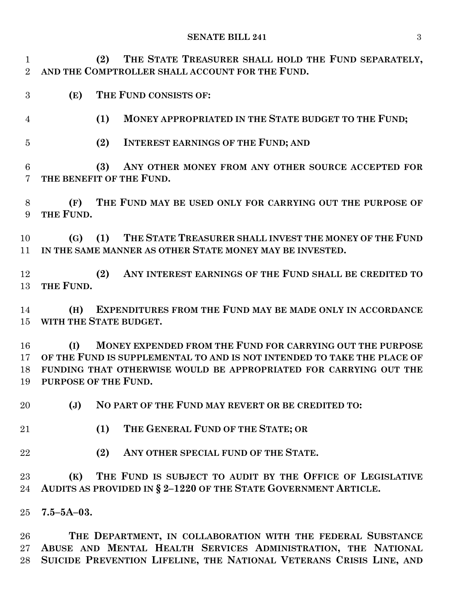#### **SENATE BILL 241** 3

 **(2) THE STATE TREASURER SHALL HOLD THE FUND SEPARATELY, AND THE COMPTROLLER SHALL ACCOUNT FOR THE FUND.**

- **(E) THE FUND CONSISTS OF:**
- **(1) MONEY APPROPRIATED IN THE STATE BUDGET TO THE FUND;**
- **(2) INTEREST EARNINGS OF THE FUND; AND**

 **(3) ANY OTHER MONEY FROM ANY OTHER SOURCE ACCEPTED FOR THE BENEFIT OF THE FUND.**

 **(F) THE FUND MAY BE USED ONLY FOR CARRYING OUT THE PURPOSE OF THE FUND.**

 **(G) (1) THE STATE TREASURER SHALL INVEST THE MONEY OF THE FUND IN THE SAME MANNER AS OTHER STATE MONEY MAY BE INVESTED.**

 **(2) ANY INTEREST EARNINGS OF THE FUND SHALL BE CREDITED TO THE FUND.**

 **(H) EXPENDITURES FROM THE FUND MAY BE MADE ONLY IN ACCORDANCE WITH THE STATE BUDGET.**

 **(I) MONEY EXPENDED FROM THE FUND FOR CARRYING OUT THE PURPOSE OF THE FUND IS SUPPLEMENTAL TO AND IS NOT INTENDED TO TAKE THE PLACE OF FUNDING THAT OTHERWISE WOULD BE APPROPRIATED FOR CARRYING OUT THE PURPOSE OF THE FUND.**

**(J) NO PART OF THE FUND MAY REVERT OR BE CREDITED TO:**

- **(1) THE GENERAL FUND OF THE STATE; OR**
- **(2) ANY OTHER SPECIAL FUND OF THE STATE.**

 **(K) THE FUND IS SUBJECT TO AUDIT BY THE OFFICE OF LEGISLATIVE AUDITS AS PROVIDED IN § 2–1220 OF THE STATE GOVERNMENT ARTICLE.**

**7.5–5A–03.**

 **THE DEPARTMENT, IN COLLABORATION WITH THE FEDERAL SUBSTANCE ABUSE AND MENTAL HEALTH SERVICES ADMINISTRATION, THE NATIONAL SUICIDE PREVENTION LIFELINE, THE NATIONAL VETERANS CRISIS LINE, AND**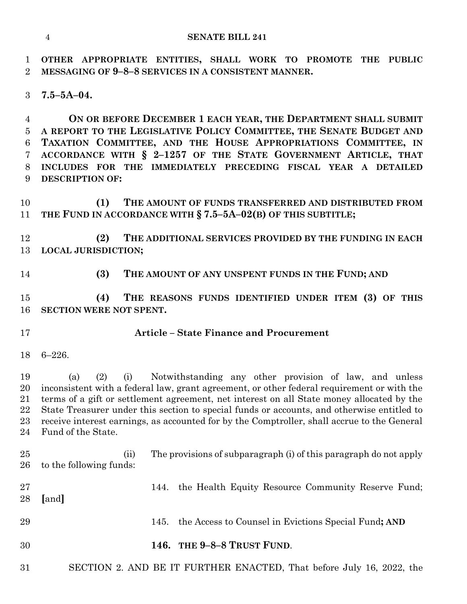**OTHER APPROPRIATE ENTITIES, SHALL WORK TO PROMOTE THE PUBLIC MESSAGING OF 9–8–8 SERVICES IN A CONSISTENT MANNER.**

**7.5–5A–04.**

 **ON OR BEFORE DECEMBER 1 EACH YEAR, THE DEPARTMENT SHALL SUBMIT A REPORT TO THE LEGISLATIVE POLICY COMMITTEE, THE SENATE BUDGET AND TAXATION COMMITTEE, AND THE HOUSE APPROPRIATIONS COMMITTEE, IN ACCORDANCE WITH § 2–1257 OF THE STATE GOVERNMENT ARTICLE, THAT INCLUDES FOR THE IMMEDIATELY PRECEDING FISCAL YEAR A DETAILED DESCRIPTION OF:**

 **(1) THE AMOUNT OF FUNDS TRANSFERRED AND DISTRIBUTED FROM THE FUND IN ACCORDANCE WITH § 7.5–5A–02(B) OF THIS SUBTITLE;**

 **(2) THE ADDITIONAL SERVICES PROVIDED BY THE FUNDING IN EACH LOCAL JURISDICTION;**

**(3) THE AMOUNT OF ANY UNSPENT FUNDS IN THE FUND; AND**

 **(4) THE REASONS FUNDS IDENTIFIED UNDER ITEM (3) OF THIS SECTION WERE NOT SPENT.**

### **Article – State Finance and Procurement**

6–226.

 (a) (2) (i) Notwithstanding any other provision of law, and unless inconsistent with a federal law, grant agreement, or other federal requirement or with the terms of a gift or settlement agreement, net interest on all State money allocated by the State Treasurer under this section to special funds or accounts, and otherwise entitled to receive interest earnings, as accounted for by the Comptroller, shall accrue to the General Fund of the State.

 (ii) The provisions of subparagraph (i) of this paragraph do not apply to the following funds: 144. the Health Equity Resource Community Reserve Fund; **[**and**]**

- 145. the Access to Counsel in Evictions Special Fund**; AND**
- **146. THE 9–8–8 TRUST FUND**.
- SECTION 2. AND BE IT FURTHER ENACTED, That before July 16, 2022, the